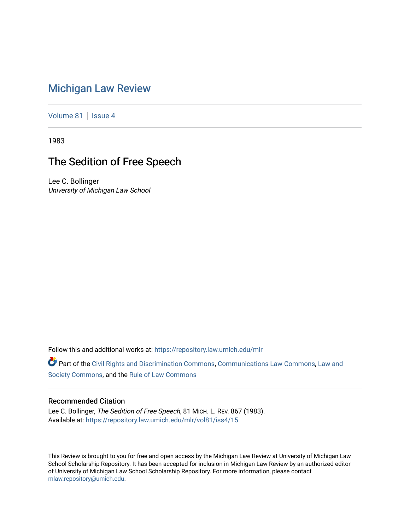## [Michigan Law Review](https://repository.law.umich.edu/mlr)

[Volume 81](https://repository.law.umich.edu/mlr/vol81) | [Issue 4](https://repository.law.umich.edu/mlr/vol81/iss4)

1983

# The Sedition of Free Speech

Lee C. Bollinger University of Michigan Law School

Follow this and additional works at: [https://repository.law.umich.edu/mlr](https://repository.law.umich.edu/mlr?utm_source=repository.law.umich.edu%2Fmlr%2Fvol81%2Fiss4%2F15&utm_medium=PDF&utm_campaign=PDFCoverPages) 

Part of the [Civil Rights and Discrimination Commons,](http://network.bepress.com/hgg/discipline/585?utm_source=repository.law.umich.edu%2Fmlr%2Fvol81%2Fiss4%2F15&utm_medium=PDF&utm_campaign=PDFCoverPages) [Communications Law Commons,](http://network.bepress.com/hgg/discipline/587?utm_source=repository.law.umich.edu%2Fmlr%2Fvol81%2Fiss4%2F15&utm_medium=PDF&utm_campaign=PDFCoverPages) [Law and](http://network.bepress.com/hgg/discipline/853?utm_source=repository.law.umich.edu%2Fmlr%2Fvol81%2Fiss4%2F15&utm_medium=PDF&utm_campaign=PDFCoverPages) [Society Commons](http://network.bepress.com/hgg/discipline/853?utm_source=repository.law.umich.edu%2Fmlr%2Fvol81%2Fiss4%2F15&utm_medium=PDF&utm_campaign=PDFCoverPages), and the [Rule of Law Commons](http://network.bepress.com/hgg/discipline/1122?utm_source=repository.law.umich.edu%2Fmlr%2Fvol81%2Fiss4%2F15&utm_medium=PDF&utm_campaign=PDFCoverPages) 

#### Recommended Citation

Lee C. Bollinger, The Sedition of Free Speech, 81 MICH. L. REV. 867 (1983). Available at: [https://repository.law.umich.edu/mlr/vol81/iss4/15](https://repository.law.umich.edu/mlr/vol81/iss4/15?utm_source=repository.law.umich.edu%2Fmlr%2Fvol81%2Fiss4%2F15&utm_medium=PDF&utm_campaign=PDFCoverPages) 

This Review is brought to you for free and open access by the Michigan Law Review at University of Michigan Law School Scholarship Repository. It has been accepted for inclusion in Michigan Law Review by an authorized editor of University of Michigan Law School Scholarship Repository. For more information, please contact [mlaw.repository@umich.edu.](mailto:mlaw.repository@umich.edu)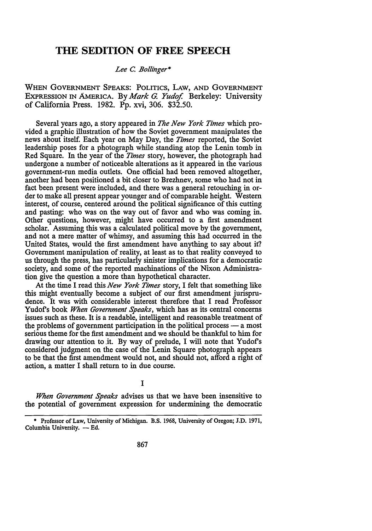### **THE SEDITION OF FREE SPEECH**

#### *Lee C. Bollinger\**

WHEN GOVERNMENT SPEAKS: POLITICS, LAW, AND GOVERNMENT EXPRESSION IN AMERICA. By *Mark G. Yudef.* Berkeley: University of California Press. 1982. Pp. xvi, 306. \$32.50.

Several years ago, a story appeared in *The New York Times* which provided a graphic illustration of how the Soviet government manipulates the news about itself. Each year on May Day, the *Times* reported, the Soviet leadership poses for a photograph while standing atop the Lenin tomb in Red Square. In the year of the *Times* story, however, the photograph had undergone a number of noticeable alterations as it appeared in the various government-run media outlets. One official had been removed altogether, another had been positioned a bit closer to Brezhnev, some who had not in fact been present were included, and there was a general retouching in order to make all present appear younger and of comparable height. W estem interest, of course, centered around the political significance of this cutting and pasting: who was on the way out of favor and who was coming in. Other questions, however, might have occurred to a first amendment scholar. Assuming this was a calculated political move by the government, and not a mere matter of whimsy, and assuming this had occurred in the United States, would the first amendment have anything to say about it? Government manipulation of reality, at least as to that reality conveyed to us through the press, has particularly sinister implications for a democratic society, and some of the reported machinations of the Nixon Administration give the question a more than hypothetical character.

At the time I read this *New York Times* story, I felt that something like this might eventually become a subject of our first amendment jurisprudence. It was with considerable interest therefore that I read Professor Yudof's book *When Government Speaks*, which has as its central concerns issues such as these. It is a readable, intelligent and reasonable treatment of the problems of government participation in the political process  $-$  a most serious theme for the first amendment and we should be thankful to him for drawing our attention to it. By way of prelude, I will note that Yudof's considered judgment on the case of the Lenin Square photograph appears to be that the first amendment would not, and should not, afford a right of action, a matter I shall return to in due course.

I

*When Government Speaks* advises us that we have been insensitive to the potential of government expression for undermining the democratic

<sup>•</sup> Professor of Law, University of Michigan. B.S. 1968, University of Oregon; J.D. 1971, Columbia University. - Ed.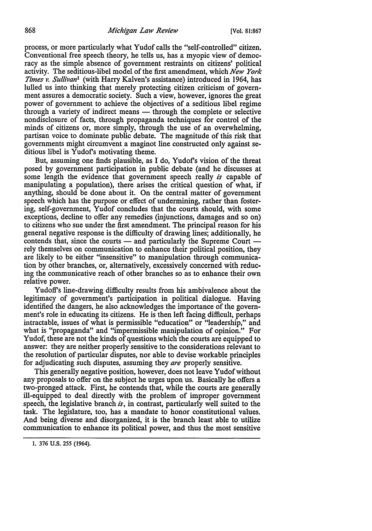process, or more particularly what Yudof calls the "self-controlled" citizen. Conventional free speech theory, he tells us, has a myopic view of democracy as the simple absence of government restraints on citizens' political activity. The seditious-libel model of the first amendment, which *New York Times v. Sullivan*<sup>1</sup>(with Harry Kalven's assistance) introduced in 1964, has lulled us into thinking that merely protecting citizen criticism of government assures a democratic society. Such a view, however, ignores the great power of government to achieve the objectives of a seditious libel regime  $through a variety of indirect means — through the complete or selective$ nondisclosure of facts, through propaganda techniques for control of the minds of citizens or, more simply, through the use of an overwhelming, partisan voice to dominate public debate. The magnitude of this risk that governments might circumvent a maginot line constructed only against seditious libel is Yudofs motivating theme.

But, assuming one finds plausible, as I do, Yudofs vision of the threat posed by government participation in public debate (and he discusses at some length the evidence that government speech really *is* capable of manipulating a population), there arises the critical question of what, if anything, should be done about it. On the central matter of government speech which has the purpose or effect of undermining, rather than fostering, self-government, Yudof concludes that the courts should, with some exceptions, decline to offer any remedies (injunctions, damages and so on) to citizens who sue under the first amendment. The principal reason for his general negative response is the difficulty of drawing lines; additionally, he contends that, since the courts  $-$  and particularly the Supreme Court  $$ rely themselves on communication to enhance their political position, they are likely to be either "insensitive" to manipulation through communication by other branches, or, alternatively, excessively concerned with reducing the communicative reach of other branches so as to enhance their own relative power.

Yudofi's line-drawing difficulty results from his ambivalence about the legitimacy of government's participation in political dialogue. Having identified the dangers, he also acknowledges the importance of the government's role in educating its citizens. He is then left facing difficult, perhaps intractable, issues of what is permissible "education" or "leadership," and what is "propaganda" and "impermissible manipulation of opinion." For Yudof, these are not the kinds of questions which the courts are equipped to answer: they are neither properly sensitive to the considerations relevant to the resolution of particular disputes, nor able to devise workable principles for adjudicating such disputes, assuming they *are* properly sensitive.

This generally negative position, however, does not leave Yudofwithout any proposals to offer on the subject he urges upon us. Basically he offers a two-pronged attack. First, he contends that, while the courts are generally ill-equipped to deal directly with the problem of improper government speech, the legislative branch *is,* in contrast, particularly well suited to the task. The legislature, too, has a mandate to honor constitutional values. And being diverse and disorganized, it is the branch least able to utilize communication to enhance its political power, and thus the most sensitive

I. 376 U.S. 255 (1964).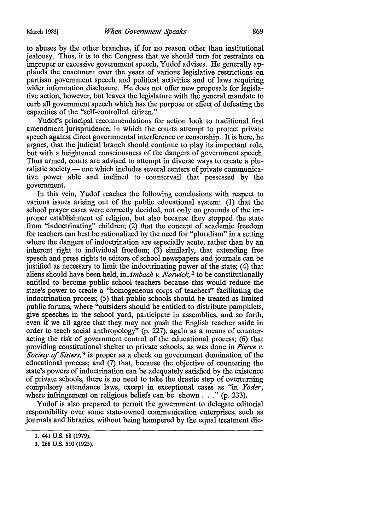to abuses by the other branches, if for no reason other than institutional jealousy. Thus, it is to the Congress that we should tum for restraints on improper or excessive government speech, Yudof advises. He generally applauds the enactment over the years of various legislative restrictions on partisan government speech and political activities and of laws requiring wider information disclosure. He does not offer new proposals for legislative action, however, but leaves the legislature with the general mandate to curb all government speech which has the purpose or effect of defeating the capacities of the "self-controlled citizen."

Yudofs principal recommendations for action look to traditional first amendment jurisprudence, in which the courts attempt to protect private speech against direct governmental interference or censorship. It is here, he argues, that the judicial branch should continue to play its important role, but with a heightened consciousness of the dangers of government speech. Thus armed, courts are advised to attempt in diverse ways to create a pluralistic society - one which includes several centers of private communicative power able and inclined to countervail that possessed by the government.

In this vein, Yudof reaches the following conclusions with respect to various issues arising out of the public educational system: (1) that the school prayer cases were correctly decided, not only on grounds of the improper establishment of religion, but also because they stopped the state from "indoctrinating" children; (2) that the concept of academic freedom for teachers can best be rationalized by the need for "pluralism" in a setting where the dangers of indoctrination are especially acute, rather than by an inherent right to individual freedom; (3) similarly, that extending free speech and press rights to editors of school newspapers and journals can be justified as necessary to limit the indoctrinating power of the state; (4) that aliens should have been held, *inAmbach v. Norwick,* 2 to be constitutionally entitled to become public school teachers because this would reduce the state's power to create a "homogeneous corps of teachers" facilitating the indoctrination process; (5) that public schools should be treated as limited public forums, where "outsiders should be entitled to distribute pamphlets, give speeches in the school yard, participate in assemblies, and so forth, even if we all agree that they may not push the English teacher aside in order to teach social anthropology" (p. 227), again as a means of counteracting the risk of government control of the educational process; (6) that providing constitutional shelter to private schools, as was done in *Pierce v. Society of Sisters,* 3 is proper as a check on government domination of the educational process; and (7) that, because the objective of countering the state's powers of indoctrination can be adequately satisfied by the existence of private schools, there is no need to take the drastic step of overturning compulsory attendance laws, except in exceptional cases as "in *Yoder,*  where infringement on religious beliefs can be shown . . ." (p. 233).

Yudof is also prepared to permit the government to delegate editorial responsibility over some state-owned communication enterprises, such as journals and libraries, without being hampered by the equal treatment die-

<sup>2. 441</sup> U.S. 68 (1979).

<sup>3. 268</sup> U.S. 510 (1925).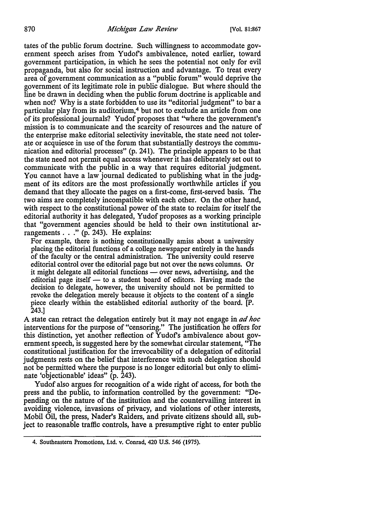tates of the public forum doctrine. Such willingness to accommodate government speech arises from Yudofs ambivalence, noted earlier, toward government participation, in which he sees the potential not only for evil propaganda, but also for social instruction and advantage. To treat every area of government communication as a "public forum" would deprive the government of its legitimate role in public dialogue. But where should the line be drawn in deciding when the public forum doctrine is applicable and when not? Why is a state forbidden to use its "editorial judgment" to bar a particular play from its auditorium,<sup>4</sup> but not to exclude an article from one of its professional journals? Yudof proposes that ''where the government's mission is to communicate and the scarcity of resources and the nature of the enterprise make editorial selectivity inevitable, the state need not tolerate or acquiesce in use of the forum that substantially destroys the communication and editorial processes" (p. 241). The principle appears to be that the state need not permit equal access whenever it has deliberately set out to communicate with the public in ·a way that requires editorial judgment. You cannot have a law journal dedicated to publishing what in the judgment of its editors are the most professionally worthwhile articles if you demand that they allocate the pages on a first-come, first-served basis. The two aims are completely incompatible with each other. On the other hand, with respect to the constitutional power of the state to reclaim for itself the editorial authority it has delegated, Yudof proposes as a working principle that "government agencies should be held to their own institutional arrangements . . ." (p. 243). He explains:

For example, there is nothing constitutionally amiss about a university placing the editorial functions of a college newspaper entirely in the hands of the faculty or the central administration. The university could reserve editorial control over the editorial page but not over the news columns. Or it might delegate all editorial functions — over news, advertising, and the editorial page itself  $-$  to a student board of editors. Having made the decision to delegate, however, the university should not be permitted to revoke the delegation merely because it objects to the content of a single piece clearly within the established editorial authority of the board. [P. 243.]

A state can retract the delegation entirely but it may not engage in *ad hoc*  interventions for the purpose of "censoring." The justification he offers for this distinction, yet another reflection of Yudofs ambivalence about government speech, is suggested here by the somewhat circular statement, "The constitutional justification for the irrevocability of a delegation of editorial judgments rests on the belief that interference with such delegation should not be permitted where the purpose is no longer editorial but only to eliminate 'objectionable' ideas" (p. 243).

Yudof also argues for recognition of a wide right of access, for both the press and the public, to information controlled by the government: "Depending on the nature of the institution and the countervailing interest in avoiding violence, invasions of privacy, and violations of other interests, Mobil Oil, the press, Nader's Raiders, and private citizens should all, subject to reasonable traffic controls, have a presumptive right to enter public

<sup>4.</sup> Southeastern Promotions, Ltd. v. Conrad, 420 U.S. 546 (1975).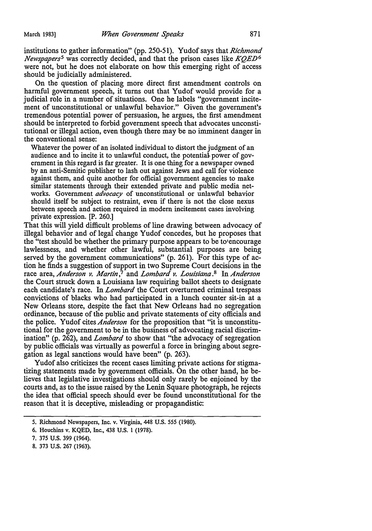institutions to gather information" (pp. 250-51 ). Yudof says that *Richmond Newspapers <sup>5</sup>*was correctly decided, and that the prison cases like *KQED6*  were not, but he does not elaborate on how this emerging right of access should be judicially administered.

On the question of placing more direct first amendment controls on harmful government speech, it turns out that Yudof would provide for a judicial role in a number of situations. One he labels "government incitement of unconstitutional or unlawful behavior." Given the government's tremendous potential power of persuasion, he argues, the first amendment should be interpreted to forbid government speech that advocates unconstitutional or illegal action, even though there may be no imminent danger in the conventional sense:

Whatever the power of an isolated individual to distort the judgment of an audience and to incite it to unlawful conduct, the potential- power of government in this regard is far greater. It is one thing for a newspaper owned by an anti-Semitic publisher to lash out against Jews and call for violence against them, and quite another for official government agencies to make similar statements through their extended private and public media networks. Government *advocacy* of unconstitutional or unlawful behavior should itself be subject to restraint, even if there is not the close nexus between speech and action required in modem incitement cases involving private expression. [P. 260.]

That this will yield difficult problems of line drawing between advocacy of illegal behavior and of legal change Yudof concedes, but he proposes that the "test should be whether the primary purpose appears to be to•encourage lawlessness, and whether other lawful, substantial purposes are being served by the government communications" (p. 261). For this type of action he finds a suggestion of support in two Supreme Court decisions in the race area, *Anderson v. Martin*<sup>7</sup> and *Lombard v. Louisiana*.<sup>8</sup> In *Anderson* the Court struck down a Louisiana law requiring ballot sheets to designate each candidate's race. In *Lombard* the Court overturned criminal trespass convictions of blacks who had participated in a lunch counter sit-in at a New Orleans store, despite the fact that New Orleans had no segregation ordinance, because of the public and private statements of city officials and the police. Yudof cites *Anderson* for the proposition that "it is unconstitutional for the government to be in the business of advocating racial discrimination" (p. 262), and *Lombard* to show that "the advocacy of segregation by public officials was virtually as powerful a force in bringing about segregation as legal sanctions would have been" (p. 263).

Yudof also criticizes the recent cases limiting private actions for stigmatizing statements made by government officials. On the other hand, he believes that legislative investigations should only rarely be enjoined by the courts and, as to the issue raised by the Lenin Square photograph, he rejects the idea that official speech should ever be found unconstitutional for the reason that it is deceptive, misleading or propagandistic:

<sup>5.</sup> Richmond Newspapers, Inc. v. Virginia, 448 U.S. 555 (1980).

<sup>6.</sup> Houchins v. KQED, Inc., 438 U.S. 1 (1978).

<sup>7. 375</sup> U.S. 399 (1964).

<sup>8. 373</sup> U.S. 267 (1963).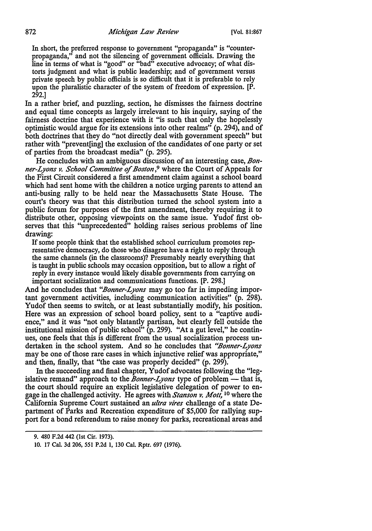In short, the preferred response to government "propaganda" is "counterpropaganda," and not the silencing of government officials. Drawing the line in terms of what is "good" or "bad" executive advocacy; of what distorts judgment and what is public leadership; and of government versus private speech by public officials is so difficult that it is preferable to rely upon the pluralistic character of the system of freedom of expression. [P. 292.)

In a rather brief, and puzzling, section, he dismisses the fairness doctrine and equal time concepts as largely irrelevant to his inquiry, saying of the fairness doctrine that experience with it "is such that only the hopelessly optimistic would argue for its extensions into other realms" (p. 294), and of both doctrines that they do "not directly deal with government speech" but rather with "prevent[ing] the exclusion of the candidates of one party or set of parties from the broadcast media" (p. 295).

He concludes with an ambiguous discussion of an interesting case, *Bonner-Lyons v. School Committee of Boston* , <sup>9</sup>where the Court of Appeals for the First Circuit considered a first amendment claim against a school board which had sent home with the children a notice urging parents to attend an anti-busing rally to be held near the Massachusetts State House. The court's theory was that this distribution turned the school system into a public forum for purposes of the first amendment, thereby requiring it to distribute other, opposing viewpoints on the same issue. Yudof first observes that this "unprecedented" holding raises serious problems of line drawing:

If some people think that the established school curriculum promotes representative democracy, do those who disagree have a right to reply through the same channels (in the classrooms)? Presumably nearly everything that is taught in public schools may occasion opposition, but to allow a right of reply in every instance would likely disable governments from carrying on important socialization and communications functions. [P. 298.]

And he concludes that *"Bonner-Lyons* may go too far in impeding important government activities, including communication activities" (p. 298). Yudof then seems to switch, or at least substantially modify, his position. Here was an expression of school board policy, sent to a "captive audience," and it was "not only blatantly partisan, but clearly fell outside the institutional mission of public school" (p. 299). "At a gut level," he continues, one feels that this is different from the usual socialization process undertaken in the school system. And so he concludes that *''Bonner-Lyons*  may be one of those rare cases in which injunctive relief was appropriate," and then, finally, that "the case was properly decided" (p. 299).

In the succeeding and final chapter, Yudof advocates following the "legislative remand" approach to the *Bonner-Lyons* type of problem — that is, the court should require an explicit legislative delegation of power to engage in the challenged activity. He agrees *withStanson v. Mott,* 10 where the California Supreme Court sustained an *ultra vires* challenge of a state Department of Parks and Recreation expenditure of \$5,000 for rallying support for a bond referendum to raise money for parks, recreational areas and

<sup>9. 480</sup> F.2d 442 (1st Cir. 1973).

<sup>10. 17</sup> Cal. 3d 206, 551 P.2d I, 130 Cal. Rptr. 697 (1976).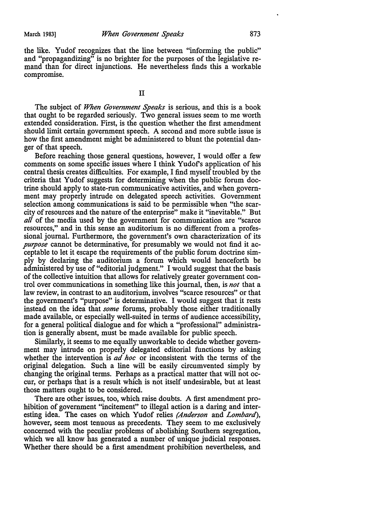the like. Yudof recognizes that the line between "informing the public" and "propagandizing" is no brighter for the purposes of the legislative remand than for direct injunctions. He nevertheless finds this a workable compromise.

II

The subject of *When Government Speaks* is serious, and this is a book that ought to be regarded seriously. Two general issues seem to me worth extended consideration. First, is the question whether the first amendment should limit certain government speech. A second and more subtle issue is how the first amendment might be administered to blunt the potential danger of that speech.

Before reaching those general questions, however, I would offer a few comments on some specific issues where I think Yudofs application of his central thesis creates difficulties. For example, I find myself troubled by the criteria that Yudof suggests for determining when the public forum doctrine should apply to state-run communicative activities, and when government may properly intrude on delegated speech activities. Government selection among communications is said to be permissible when "the scarcity of resources and the nature of the enterprise" make it "inevitable." But *all* of the media used by the government for communication are "scarce resources," and in this sense an auditorium is no different from a professional journal. Furthermore, the government's own characterization of its *purpose* cannot be determinative, for presumably we would not find it acceptable to let it escape the requirements of the public forum doctrine simply by declaring the auditorium a forum which would henceforth be administered by use of "editorial judgment." I would suggest that the basis of the collective intuition that allows for relatively greater government control over communications in something like this journal, then, is *not* that a law review, in contrast to an auditorium, involves "scarce resources" or that the government's "purpose" is determinative. I would suggest that it rests instead on the idea that *some* forums, probably those either traditionally made available, or especially well-suited in terms of audience accessibility, for a general political dialogue and for which a "professional" administration is generally absent, must be made available for public speech.

Similarly, it seems to me equally unworkable to decide whether government may intrude on properly delegated editorial functions by asking whether the intervention is *ad hoc* or inconsistent with the terms of the original delegation. Such a line will be easily circumvented simply by changing the original terms. Perhaps as a practical matter that will not occur, or perhaps that is a result which is not itself undesirable, but at least those matters ought to be considered.

There are other issues, too, which raise doubts. A first amendment prohibition of government "incitement" to illegal action is a daring and interesting idea. The cases on which Yudof relies *(Anderson* and *Lombard),*  however, seem most tenuous as precedents. They seem to me exclusively concerned with the peculiar problems of abolishing Southern segregation, which we all know has generated a number of unique judicial responses. Whether there should be a first amendment prohibition nevertheless, and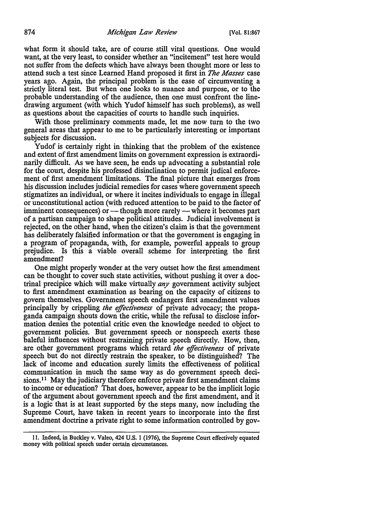what form it should take, are of course still vital questions. One would want, at the very least, to consider whether an "incitement" test here would not suffer from the defects which.have always been thought more or less to attend such a test since Learned Hand proposed it first in *The Masses* case years ago. Again, the principal problem is the ease of circumventing a strictly literal test. But when one looks to nuance and purpose, or to the probable understanding of the audience, then one must confront the linedrawing argument (with which Yudof himself has such problems), as well as questions about the capacities of courts to handle such inquiries.

With those preliminary comments made, let me now turn to the two general areas that appear to me to be particularly interesting or important subjects for discussion.

Yudof is certainly right in thinking that the problem of the existence and extent of first amendment limits on government expression is extraordinarily difficult. As we have seen, he ends up advocating a substantial role for the court, despite his professed disinclination to permit judical enforcement of first amendment limitations. The final picture that emerges from his discussion includes judicial remedies for cases where government speech stigmatizes an individual, or where it incites individuals to engage in illegal or unconstitutional action (with reduced attention to be paid to the factor of imminent consequences) or — though more rarely — where it becomes part of a partisan campaign to shape political attitudes. Judicial involvement is rejected, on the other hand, when the citizen's claim is that the government has deliberately falsified information or that the government is engaging in a program of propaganda, with, for example, powerful appeals to group prejudice. Is this a viable overall scheme for interpreting the first amendment?

One might properly wonder at the very outset how the first amendment can be thought to cover such state activities, without pushing it over a doctrinal precipice which will make virtually *any* government activity subject to first amendment examination as bearing on the capacity of citizens to govern themselves. Government speech endangers first amendment values principally by crippling *the effectiveness* of private advocacy; the propaganda campaign shouts down the critic, while the refusal to disclose information denies the potential critic even the knowledge needed to object to government policies. But government speech or nonspeech exerts these baleful influences without restraining private speech directly. How, then, are other government programs which retard *the effectiveness* of private speech but do not directly restrain the speaker, to be distinguished? The lack of income and education surely limits the effectiveness of political communication in much the same way as do government speech decisions.<sup>11</sup> May the judiciary therefore enforce private first amendment claims to income or education? That does, however, appear to be the implicit logic of the argument about government speech and the first amendment, and it is a logic that is at least supported by the steps many, now including the Supreme Court, have taken in recent years to incorporate into the first amendment doctrine a private right to some information controlled by gov-

<sup>11.</sup> Indeed, in Buckley v. Valeo, 424 U.S. I (1976), the Supreme Court effectively equated money with political speech under certain circumstances.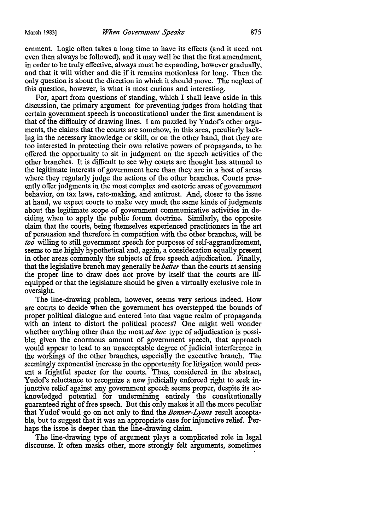ernment. Logic often takes a long time to have its effects (and it need not even then always be followed), and it may well be that the first amendment, in order to be truly effective, always must be expanding, however gradually, and that it will wither and die if it remains motionless for long. Then the only question is about the direction in which it should move. The neglect of this question, however, is what is most curious and interesting.

For, apart from questions of standing, which I shall leave aside in this discussion, the primary argument for preventing judges from holding that certain government speech is unconstitutional under the first amendment is that of the difficulty of drawing lines. I am puzzled by Yudofs other arguments, the claims that the courts are somehow, in this area, peculiarly lacking in the necessary knowledge or skill, or on the other hand, that they are too interested in protecting their own relative powers of propaganda, to be offered the opportunity to sit in judgment on the speech activities of the other branches. It is difficult to see why courts are thought less attuned to the legitimate interests of government here than they are in a host of areas where they regularly judge the actions of the other branches. Courts presently offer judgments in the most complex and esoteric areas of government behavior, on tax laws, rate-making, and antitrust. And, closer to the issue at hand, we expect courts to make very much the same kinds of judgments about the legitimate scope of government communicative activities in deciding when to apply the public forum doctrine. Similarly, the opposite claim that the courts, being themselves experienced practitioners in the art of persuasion and therefore in competition with the other branches, will be *too* willing to still government speech for purposes of self-aggrandizement, seems to me highly hypothetical and, again, a consideration equally present in other areas commonly the subjects of free speech adjudication. Finally, that the legislative branch may generally be *better* than the courts at sensing the proper line to draw does not prove by itself that the courts are illequipped or that the legislature should be given a virtually exclusive role in oversight.

The line-drawing problem, however, seems very serious indeed. How are courts to decide when the government has overstepped the bounds of proper political dialogue and entered into that vague realm of propaganda with an intent to distort the political process? One might well wonder whether anything other than the most *ad hoc* type of adjudication is possible; given the enormous amount of government speech, that approach would appear to lead to an unacceptable degree of judicial interference in the workings of the other branches, especially the executive branch. The seemingly exponential increase in the opportunity for litigation would present a frightful specter for the courts. Thus, considered in the abstract, Yudofs reluctance to recognize a new judicially enforced right to seek injunctive relief against any government speech seems proper, despite its acknowledged potential for undermining entirely the constitutionally guaranteed right of free speech. But this only makes it all the more peculiar that Yudof would go on not only to find the *Bonner-Lyons* result acceptable, but to suggest that it was an appropriate case for injunctive relief. Perhaps the issue is deeper than the line-drawing claim.

The line-drawing type of argument plays a complicated role in legal discourse. It often masks other, more strongly felt arguments, sometimes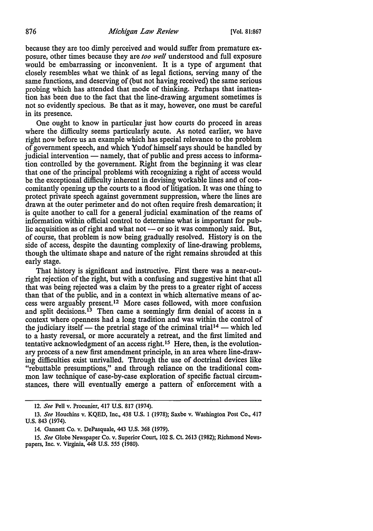because they are too dimly perceived and would suffer from premature exposure, other times because they are *too well* understood and full exposure would be embarrassing or inconvenient. It is a type of argument that closely resembles what we think of as legal fictions, serving many of the same functions, and deserving of (but not having received) the same serious probing which has attended that mode of thinking. Perhaps that inattention has been due to the fact that the line-drawing argument sometimes is not so evidently specious. Be that as it may, however, one must be careful in its presence.

One ought to know in particular just how courts do proceed in areas where the difficulty seems particularly acute. As noted earlier, we have right now before us an example which has special relevance to the problem of government speech, and which Yudof himself says should be handled by judicial intervention — namely, that of public and press access to information controlled by the government. Right from the beginning it was clear that one of the principal problems with recognizing a right of access would be the exceptional difficulty inherent in devising workable lines and of concomitantly opening up the courts to a flood of litigation. It was one thing to protect private speech against government suppression, where the lines are drawn at the outer perimeter and do not often require fresh demarcation; it is quite another to call for a general judicial examination of the reams of information within official control to determine what is important for public acquisition as of right and what not  $\sim$  or so it was commonly said. But, of course, that problem is now being gradually resolved. History is on the side of access, despite the daunting complexity of line-drawing problems, though the ultimate shape and nature of the right remains shrouded at this early stage.

That history is significant and instructive. First there was a near-outright rejection of the right, but with a confusing and suggestive hint that all that was being rejected was a claim by the press to a greater right of access than that of the public, and in a context in which alternative means of access were arguably present.<sup>12</sup> More cases followed, with more confusion and split decisions.<sup>13</sup> Then came a seemingly firm denial of access in a context where openness had a long tradition and was within the control of the judiciary itself — the pretrial stage of the criminal trial  $14$  — which led to a hasty reversal, or more accurately a retreat, and the first limited and tentative acknowledgment of an access right. 15 Here, then, is the evolutionary process of a new first amendment principle, in an area where line-drawing difficulties exist unrivalled. Through the use of doctrinal devices like "rebuttable presumptions," and through reliance on the traditional common law technique of case-by-case exploration of specific factual circumstances, there will eventually emerge a pattern of enforcement with a

<sup>12.</sup> *See* Pell v. Procunier, 417 U.S. 817 (1974).

<sup>13.</sup> *See* Houchins v. KQED, Inc., 438 U.S. 1 (1978); Saxbe v. Washington Post Co., 417 U.S. 843 (1974).

<sup>14.</sup> Gannett Co. v. DePasquale, 443 U.S. 368 (1979).

<sup>15.</sup> *See* Globe Newspaper Co. v. Superior Court, 102 S. Ct. 2613 (1982); Richmond Newspapers, Inc. v. Virginia, 448 U.S. *555* (1980).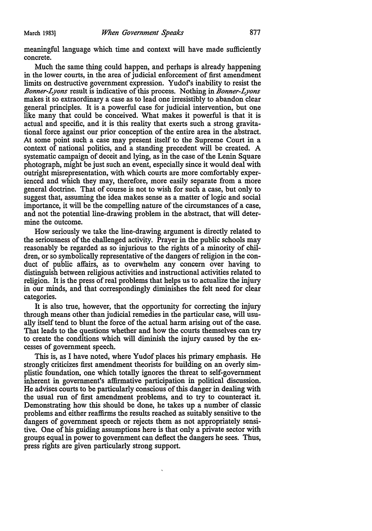meaningful language which time and context will have made sufficiently concrete.

Much the same thing could happen, and perhaps is already happening in the lower courts, in the area of judicial enforcement of first amendment limits on destructive government expression. Yudof's inability to resist the *Bonner-Lyons* result is indicative of this process. Nothing in *Bonner-Lyons*  makes it so extraordinary a case as to lead one irresistibly to abandon clear general principles. It is a powerful case for judicial intervention, but one like many that could be conceived. What makes it powerful is that it is actual and specific, and it is this reality that exerts such a strong gravitational force against our prior conception of the entire area in the abstract. **At** some point such a case may present itself to the Supreme Court in a context of national politics, and a standing precedent will be created. A systematic campaign of deceit and lying, as in the case of the Lenin Square photograph, might be just such an event, especially since it would deal with outright misrepresentation, with which courts are more comfortably experienced and which they may, therefore, more easily separate from a more general doctrine. That of course is not to wish for such a case, but only to suggest that, assuming the idea makes sense as a matter of logic and social importance, it will be the compelling nature of the circumstances of a case, and not the potential line-drawing problem in the abstract, that will determine the outcome.

How seriously we take the line-drawing argument is directly related to the seriousness of the challenged activity. Prayer in the public schools may reasonably be regarded as so injurious to the rights of a minority of children, or so symbolically representative of the dangers of religion in the conduct of public affairs, as to overwhelm any concern over having to distinguish between religious activities and instructional activities related to religion. It is the press of real problems that helps us to actualize the injury in our minds, and that correspondingly diminishes the felt need for clear categories.

It is also true, however, that the opportunity for correcting the injury through means other than judicial remedies in the particular case, will usually itself tend to blunt the force of the actual harm arising out of the case. That leads to the questions whether and how the courts themselves can try to create the conditions which will diminish the injury caused by the excesses of government speech.

This is, as I have noted, where Yudof places his primary emphasis. He strongly criticizes first amendment theorists for building on an overly simplistic foundation, one which totally ignores the threat to self-government inherent in government's affirmative participation in political discussion. He advises courts to be particularly conscious of this danger in dealing with the usual run of first amendment problems, and to try to counteract it. Demonstrating how this should be done, he takes up a number of classic problems and either reaffirms the results reached as suitably sensitive to the dangers of government speech or rejects them as not appropriately sensitive. One of his guiding assumptions here is that only a private sector with groups equal in power to government can deflect the dangers he sees. Thus, press rights are given particularly strong support.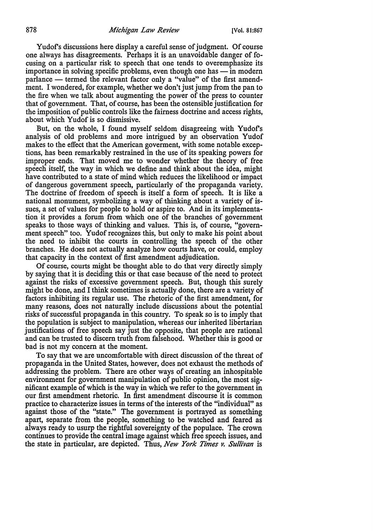Yudof's discussions here display a careful sense of judgment. Of course one always has disagreements. Perhaps it is an unavoidable danger of focusing on a particular risk to speech that one tends to overemphasize its importance in solving specific problems, even though one has  $-$  in modern parlance — termed the relevant factor only a "value" of the first amendment. I wondered, for example, whether we don't just jump from the pan to the fire when we talk about augmenting the power of the press to counter that of government. That, of course, has been the ostensible justification for the imposition of public controls like the fairness doctrine and access rights, about which Yudof is so dismissive.

But, on the whole, I found myself seldom disagreeing with Yudofs analysis of old problems and more intrigued by an observation Yudof makes to the effect that the American goverment, with some notable exceptions, has been remarkably restrained in the use of its speaking powers for improper ends. That moved me to wonder whether the theory of free speech itself, the way in which we define and think about the idea, might have contributed to a state of mind which reduces the likelihood or impact of dangerous government speech, particularly of the propaganda variety. The doctrine of freedom of speech is itself a form of speech. It is like a national monument, symbolizing a way of thinking about a variety of issues, a set of values for people to hold or aspire to. And in its implementation it provides a forum from which one of the branches of government speaks to those ways of thinking and values. This is, of course, "government speech" too. Yudof recognizes this, but only to make his point about the need to inhibit the courts in controlling the speech of the other branches. He does not actually analyze how courts have, or could, employ that capacity in the context of first amendment adjudication.

Of course, courts might be thought able to do that very directly simply by saying that it is deciding this or that case because of the need to protect against the risks of excessive government speech. But, though this surely might be done, and I think sometimes is actually done, there are a variety of factors inhibiting its regular use. The rhetoric of the first amendment, for many reasons, does not naturally include discussions about the potential risks of successful propaganda in this country. To speak so is to imply that the population is subject to manipulation, whereas our inherited libertarian justifications of free speech say just the opposite, that people are rational and can be trusted to discern truth from falsehood. Whether this is good or bad is not my concern at the moment.

To say that we are uncomfortable with direct discussion of the threat of propaganda in the United States, however, does not exhaust the methods of addressing the problem. There are other ways of creating an inhospitable environment for government manipulation of public opinion, the most significant example of which is the way in which we refer to the government in our first amendment rhetoric. In first amendment discourse it is common practice to characterize issues in terms of the interests of the "individual" as against those of the "state." The government is portrayed as something apart, separate from the people, something to be watched and feared as always ready to usurp the rightful sovereignty of the populace. The crown continues to provide the central image against which free speech issues, and the state in particular, are depicted. Thus, *New York Times v. Sullivan* is